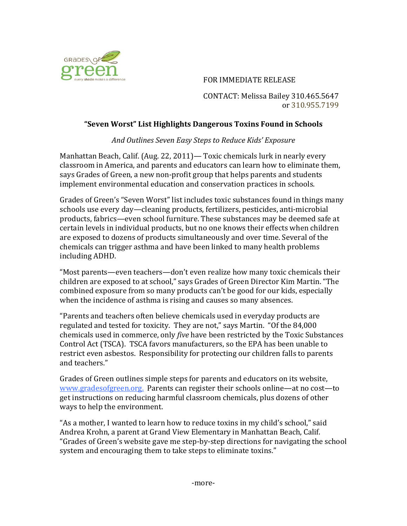

## FOR IMMEDIATE RELEASE

CONTACT: Melissa Bailey 310.465.5647 or 310.955.7199

## **"Seven&Worst"&List&Highlights&Dangerous&Toxins Found&in&Schools&**

And Outlines Seven Easy Steps to Reduce Kids' Exposure

Manhattan Beach, Calif. (Aug. 22, 2011)— Toxic chemicals lurk in nearly every classroom in America, and parents and educators can learn how to eliminate them, says Grades of Green, a new non-profit group that helps parents and students implement environmental education and conservation practices in schools.

Grades of Green's "Seven Worst" list includes toxic substances found in things many schools use every day—cleaning products, fertilizers, pesticides, anti-microbial products, fabrics—even school furniture. These substances may be deemed safe at certain levels in individual products, but no one knows their effects when children are exposed to dozens of products simultaneously and over time. Several of the chemicals can trigger asthma and have been linked to many health problems including!ADHD.

"Most parents—even teachers—don't even realize how many toxic chemicals their children are exposed to at school," says Grades of Green Director Kim Martin. "The combined exposure from so many products can't be good for our kids, especially when the incidence of asthma is rising and causes so many absences.

"Parents and teachers often believe chemicals used in everyday products are regulated and tested for toxicity. They are not," says Martin. "Of the 84,000 chemicals used in commerce, only *five* have been restricted by the Toxic Substances Control Act (TSCA). TSCA favors manufacturers, so the EPA has been unable to restrict even asbestos. Responsibility for protecting our children falls to parents and teachers."

Grades of Green outlines simple steps for parents and educators on its website, www.gradesofgreen.org. Parents can register their schools online—at no cost—to get instructions on reducing harmful classroom chemicals, plus dozens of other ways to help the environment.

"As a mother, I wanted to learn how to reduce toxins in my child's school," said Andrea Krohn, a parent at Grand View Elementary in Manhattan Beach, Calif. "Grades of Green's website gave me step-by-step directions for navigating the school system and encouraging them to take steps to eliminate toxins."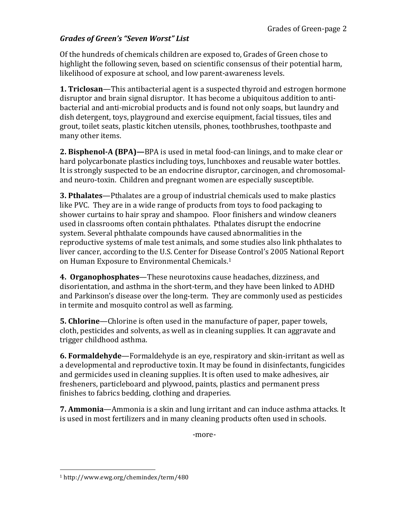## *Grades'of'Green's'"Seven'Worst"'List*

Of the hundreds of chemicals children are exposed to, Grades of Green chose to highlight the following seven, based on scientific consensus of their potential harm, likelihood of exposure at school, and low parent-awareness levels.

**1. Triclosan—This antibacterial agent is a suspected thyroid and estrogen hormone** disruptor and brain signal disruptor. It has become a ubiquitous addition to antibacterial and anti-microbial products and is found not only soaps, but laundry and dish detergent, toys, playground and exercise equipment, facial tissues, tiles and grout, toilet seats, plastic kitchen utensils, phones, toothbrushes, toothpaste and many other items.

**2. Bisphenol-A (BPA)—**BPA is used in metal food-can linings, and to make clear or hard polycarbonate plastics including toys, lunchboxes and reusable water bottles. It is strongly suspected to be an endocrine disruptor, carcinogen, and chromosomaland neuro-toxin. Children and pregnant women are especially susceptible.

**3. Pthalates—Pthalates are a group of industrial chemicals used to make plastics** like PVC. They are in a wide range of products from toys to food packaging to shower curtains to hair spray and shampoo. Floor finishers and window cleaners used in classrooms often contain phthalates. Pthalates disrupt the endocrine system. Several phthalate compounds have caused abnormalities in the reproductive systems of male test animals, and some studies also link phthalates to liver cancer, according to the U.S. Center for Disease Control's 2005 National Report on Human Exposure to Environmental Chemicals.<sup>1</sup>

**4. Organophosphates**—These neurotoxins cause headaches, dizziness, and disorientation, and asthma in the short-term, and they have been linked to ADHD and Parkinson's disease over the long-term. They are commonly used as pesticides in termite and mosquito control as well as farming.

**5. Chlorine**—Chlorine is often used in the manufacture of paper, paper towels, cloth, pesticides and solvents, as well as in cleaning supplies. It can aggravate and trigger childhood asthma.

**6. Formaldehyde**—Formaldehyde is an eye, respiratory and skin-irritant as well as a developmental and reproductive toxin. It may be found in disinfectants, fungicides and germicides used in cleaning supplies. It is often used to make adhesives, air fresheners, particleboard and plywood, paints, plastics and permanent press finishes to fabrics bedding, clothing and draperies.

**7. Ammonia**—Ammonia is a skin and lung irritant and can induce asthma attacks. It is used in most fertilizers and in many cleaning products often used in schools.

-more-

!!!!!!!!!!!!!!!!!!!!!!!!!!!!!!!!!!!!!!!!!!!!!!!!!!!!!!!

<sup>1!</sup>http://www.ewg.org/chemindex/term/480